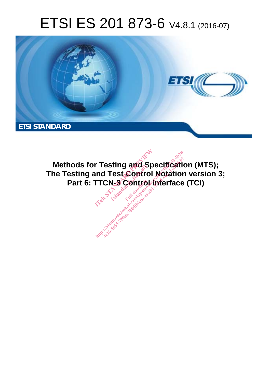## ETSI ES 201 873-6 V4.8.1 (2016-07)



**Methods for Testing and Specification (MTS); The Testing and Test Control Notation version 3; Part 6: TTCN-3 Control Interface (TCI) r Testing and Spectrum Test Control No.**<br>Ind Test Control No.<br>TTCN-3 Control International **Full standards.**<br>Fest Control<br>N-3 Control<br>Exp<sup>ress</sup> **http://web/2622-2010-07-2010-07-2010-07-2010-07-2010-07-2010-07-2010-07-2010-07-2010-07-2010-07-201**<br>Interface<br>And Control Interface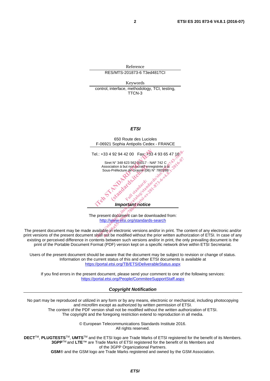Reference RES/MTS-201873-6 T3ed481TCI

Keywords control, interface, methodology, TCI, testing, TTCN-3

## *ETSI*

650 Route des Lucioles F-06921 Sophia Antipolis Cedex - FRANCE Tel.: +33 4 92 94 42 00 Fax: +33 4 93 65 47 16 Siret N° 348 623 562 00017 - NAF 742 C<br>Association à but non lucratif enregistrée à la Association à but non lucratif enregistrée à la Sous-Préfecture de Grasse (06) N° 7803/88 *Important notice*  el.: +33 4 92 94 42 00 Fax: +33 4 93<br>
Siret N° 348 623 562 00017 - NAF 742<br>
Association à but non une registrée<br>
Sous-Préfecture de Grasse (06) N° 7803<br>
Sus-Préfecture de Grasse (06) N° 7803<br>
Composition de Critique de San iation à but non lucratif enr<br>Préfecture de Grassé (06)<br>Contra de Grassé (06)<br>Contra d'article standards.<br>Contra d'article standards. COSAL Standard: 2014-1914 Multipular ps://www.etsi.org/standards-search<br>
Association à but non ducratif enregistrée à la  $\frac{3}{2}$ e sous-Préfecture de Grasse (06) N° 7803/88-1-2016<br>
Sous-Préfecture de Grasse (06) N° 7803/88-1-2016<br>
Active de Grass

The present document can be downloaded from: http://www.etsi.org/standards-search

The present document may be made available in electronic versions and/or in print. The content of any electronic and/or print versions of the present document shall not be modified without the prior written authorization of ETSI. In case of any existing or perceived difference in contents between such versions and/or in print, the only prevailing document is the print of the Portable Document Format (PDF) version kept on a specific network drive within ETSI Secretariat.

Users of the present document should be aware that the document may be subject to revision or change of status. Information on the current status of this and other ETSI documents is available at https://portal.etsi.org/TB/ETSIDeliverableStatus.aspx

If you find errors in the present document, please send your comment to one of the following services: https://portal.etsi.org/People/CommiteeSupportStaff.aspx

## *Copyright Notification*

No part may be reproduced or utilized in any form or by any means, electronic or mechanical, including photocopying and microfilm except as authorized by written permission of ETSI. The content of the PDF version shall not be modified without the written authorization of ETSI.

The copyright and the foregoing restriction extend to reproduction in all media.

© European Telecommunications Standards Institute 2016. All rights reserved.

**DECT**TM, **PLUGTESTS**TM, **UMTS**TM and the ETSI logo are Trade Marks of ETSI registered for the benefit of its Members. **3GPP**TM and **LTE**™ are Trade Marks of ETSI registered for the benefit of its Members and of the 3GPP Organizational Partners.

**GSM**® and the GSM logo are Trade Marks registered and owned by the GSM Association.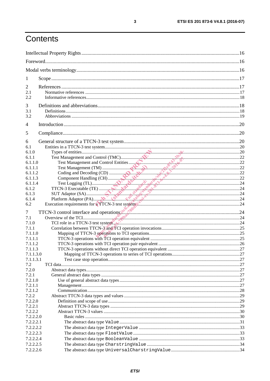## Contents

| 1                      |                                                                                                |  |
|------------------------|------------------------------------------------------------------------------------------------|--|
| 2<br>2.1<br>2.2        |                                                                                                |  |
| 3<br>3.1<br>3.2        |                                                                                                |  |
| $\overline{4}$         |                                                                                                |  |
| 5                      |                                                                                                |  |
| 6<br>6.1<br>6.1.0      |                                                                                                |  |
| 6.1.1<br>6.1.1.0       |                                                                                                |  |
| 6.1.1.1<br>6.1.1.2     |                                                                                                |  |
| 6.1.1.3<br>6.1.1.4     |                                                                                                |  |
| 6.1.2                  |                                                                                                |  |
| 6.1.3<br>6.1.4         |                                                                                                |  |
| 6.2                    | Execution requirements for a TTCN-3 test system manufacturem manufacturem manufacturem can can |  |
| 7                      | TTCN-3 control interface and operations $\mathbb{R}^N$ , $\mathbb{R}^N$                        |  |
| 7.1                    |                                                                                                |  |
| 7.1.0                  |                                                                                                |  |
| 7.1.1<br>7.1.1.0       |                                                                                                |  |
| 7.1.1.1                |                                                                                                |  |
| 7.1.1.2                |                                                                                                |  |
| 7.1.1.3                |                                                                                                |  |
| 7.1.1.3.0              |                                                                                                |  |
| 7.1.1.3.1              |                                                                                                |  |
| 7.2                    |                                                                                                |  |
| 7.2.0<br>7.2.1         |                                                                                                |  |
| 7.2.1.0                |                                                                                                |  |
| 7.2.1.1                |                                                                                                |  |
| 7.2.1.2                |                                                                                                |  |
| 7.2.2                  |                                                                                                |  |
| 7.2.2.0                |                                                                                                |  |
| 7.2.2.1                |                                                                                                |  |
| 7.2.2.2                |                                                                                                |  |
| 7.2.2.2.0              |                                                                                                |  |
| 7.2.2.2.1              |                                                                                                |  |
| 7.2.2.2.2<br>7.2.2.2.3 |                                                                                                |  |
| 7.2.2.2.4              |                                                                                                |  |
| 7.2.2.2.5              |                                                                                                |  |
| 7.2.2.2.6              |                                                                                                |  |
|                        |                                                                                                |  |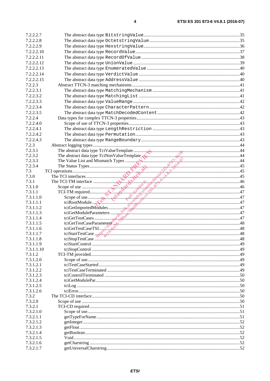| 7.2.2.2.7          |  |
|--------------------|--|
| 7.2.2.2.8          |  |
| 7.2.2.2.9          |  |
| 7.2.2.2.10         |  |
| 7.2.2.2.11         |  |
| 7.2.2.2.12         |  |
| 7.2.2.2.13         |  |
| 7.2.2.2.14         |  |
| 7.2.2.2.15         |  |
| 7.2.2.3            |  |
| 7.2.2.3.1          |  |
| 7.2.2.3.2          |  |
| 7.2.2.3.3          |  |
| 7.2.2.3.4          |  |
| 7.2.2.3.5          |  |
| 7.2.2.4            |  |
| 7.2.2.4.0          |  |
| 7.2.2.4.1          |  |
| 7.2.2.4.2          |  |
| 7.2.2.4.3          |  |
| 7.2.3              |  |
| 7.2.3.1            |  |
| 7.2.3.2            |  |
| 7.2.3.3            |  |
| 7.2.3.4            |  |
| 7.3                |  |
| 7.3.0              |  |
| 7.3.1              |  |
| 7.3.1.0            |  |
| 7.3.1.1            |  |
| 7.3.1.1.0          |  |
| 7.3.1.1.1          |  |
| 7.3.1.1.2          |  |
| 7.3.1.1.3          |  |
| 7.3.1.1.4          |  |
| 7.3.1.1.5          |  |
| 7.3.1.1.6          |  |
| 7.3.1.1.7          |  |
| 7.3.1.1.8          |  |
| 7.3.1.1.9          |  |
| 7.3.1.1.10         |  |
| 7.3.1.2            |  |
| 7.3.1.2.0          |  |
| 7.3.1.2.1          |  |
| 7.3.1.2.2          |  |
| 7.3.1.2.3          |  |
| 7.3.1.2.4          |  |
| 7.3.1.2.5          |  |
| 7.3.1.2.6<br>7.3.2 |  |
| 7.3.2.0            |  |
| 7.3.2.1            |  |
| 7.3.2.1.0          |  |
| 7.3.2.1.1          |  |
| 7.3.2.1.2          |  |
| 7.3.2.1.3          |  |
| 7.3.2.1.4          |  |
| 7.3.2.1.5          |  |
| 7.3.2.1.6          |  |
| 7.3.2.1.7          |  |
|                    |  |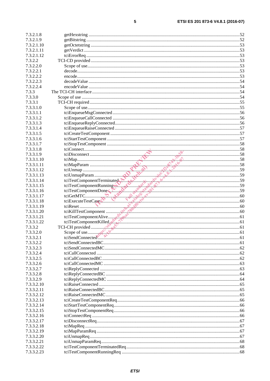| ٠ |   |   |   |
|---|---|---|---|
|   |   |   |   |
|   | I | I | I |

| 7.3.2.1.8              |                                                                                                                                                                                                                                                                                                                                                                                                                  |  |
|------------------------|------------------------------------------------------------------------------------------------------------------------------------------------------------------------------------------------------------------------------------------------------------------------------------------------------------------------------------------------------------------------------------------------------------------|--|
| 7.3.2.1.9              |                                                                                                                                                                                                                                                                                                                                                                                                                  |  |
| 7.3.2.1.10             |                                                                                                                                                                                                                                                                                                                                                                                                                  |  |
| 7.3.2.1.11             |                                                                                                                                                                                                                                                                                                                                                                                                                  |  |
| 7.3.2.1.12             |                                                                                                                                                                                                                                                                                                                                                                                                                  |  |
| 7.3.2.2                |                                                                                                                                                                                                                                                                                                                                                                                                                  |  |
| 7.3.2.2.0              |                                                                                                                                                                                                                                                                                                                                                                                                                  |  |
| 7.3.2.2.1              |                                                                                                                                                                                                                                                                                                                                                                                                                  |  |
| 7.3.2.2.2              |                                                                                                                                                                                                                                                                                                                                                                                                                  |  |
| 7.3.2.2.3              |                                                                                                                                                                                                                                                                                                                                                                                                                  |  |
| 7.3.2.2.4              |                                                                                                                                                                                                                                                                                                                                                                                                                  |  |
| 7.3.3                  |                                                                                                                                                                                                                                                                                                                                                                                                                  |  |
| 7.3.3.0                |                                                                                                                                                                                                                                                                                                                                                                                                                  |  |
| 7.3.3.1                |                                                                                                                                                                                                                                                                                                                                                                                                                  |  |
| 7.3.3.1.0              |                                                                                                                                                                                                                                                                                                                                                                                                                  |  |
| 7.3.3.1.1              |                                                                                                                                                                                                                                                                                                                                                                                                                  |  |
| 7.3.3.1.2              |                                                                                                                                                                                                                                                                                                                                                                                                                  |  |
| 7.3.3.1.3              |                                                                                                                                                                                                                                                                                                                                                                                                                  |  |
| 7.3.3.1.4              |                                                                                                                                                                                                                                                                                                                                                                                                                  |  |
| 7.3.3.1.5              |                                                                                                                                                                                                                                                                                                                                                                                                                  |  |
| 7.3.3.1.6              |                                                                                                                                                                                                                                                                                                                                                                                                                  |  |
| 7.3.3.1.7              |                                                                                                                                                                                                                                                                                                                                                                                                                  |  |
| 7.3.3.1.8              |                                                                                                                                                                                                                                                                                                                                                                                                                  |  |
| 7.3.3.1.9              |                                                                                                                                                                                                                                                                                                                                                                                                                  |  |
| 7.3.3.1.10             |                                                                                                                                                                                                                                                                                                                                                                                                                  |  |
| 7.3.3.1.11             |                                                                                                                                                                                                                                                                                                                                                                                                                  |  |
| 7.3.3.1.12             |                                                                                                                                                                                                                                                                                                                                                                                                                  |  |
| 7.3.3.1.13             |                                                                                                                                                                                                                                                                                                                                                                                                                  |  |
| 7.3.3.1.14             |                                                                                                                                                                                                                                                                                                                                                                                                                  |  |
| 7.3.3.1.15             |                                                                                                                                                                                                                                                                                                                                                                                                                  |  |
| 7.3.3.1.16             |                                                                                                                                                                                                                                                                                                                                                                                                                  |  |
| 7.3.3.1.17             | $\begin{tabular}{ c c } \hline \multicolumn{1}{ c }{58} \multicolumn{1}{ c }{58} \multicolumn{1}{ c }{58} \multicolumn{1}{ c }{58} \multicolumn{1}{ c }{58} \multicolumn{1}{ c }{58} \multicolumn{1}{ c }{58} \multicolumn{1}{ c }{58} \multicolumn{1}{ c }{58} \multicolumn{1}{ c }{58} \multicolumn{1}{ c }{58} \multicolumn{1}{ c }{58} \multicolumn{1}{ c }{58} \multicolumn{1}{ c }{58} \multicolumn{1}{ c$ |  |
| 7.3.3.1.18             |                                                                                                                                                                                                                                                                                                                                                                                                                  |  |
| 7.3.3.1.19             |                                                                                                                                                                                                                                                                                                                                                                                                                  |  |
| 7.3.3.1.20             |                                                                                                                                                                                                                                                                                                                                                                                                                  |  |
| 7.3.3.1.21             |                                                                                                                                                                                                                                                                                                                                                                                                                  |  |
| 7.3.3.1.22             |                                                                                                                                                                                                                                                                                                                                                                                                                  |  |
| 7.3.3.2                |                                                                                                                                                                                                                                                                                                                                                                                                                  |  |
| 7.3.3.2.0              | Scope of use $\frac{1}{2}$ $\frac{1}{2}$ $\frac{1}{2}$ $\frac{1}{2}$ $\frac{1}{2}$ $\frac{1}{2}$ $\frac{1}{2}$ $\frac{1}{2}$ $\frac{1}{2}$ $\frac{1}{2}$ $\frac{1}{2}$ $\frac{1}{2}$ $\frac{1}{2}$ $\frac{1}{2}$ $\frac{1}{2}$ $\frac{1}{2}$ $\frac{1}{2}$ $\frac{1}{2}$ $\frac{1}{2}$ $\frac{1}{2}$ $\frac{1}{2}$                                                                                               |  |
| 7.3.3.2.1              |                                                                                                                                                                                                                                                                                                                                                                                                                  |  |
| 7.3.3.2.2              |                                                                                                                                                                                                                                                                                                                                                                                                                  |  |
| 7.3.3.2.3              |                                                                                                                                                                                                                                                                                                                                                                                                                  |  |
| 7.3.3.2.4              |                                                                                                                                                                                                                                                                                                                                                                                                                  |  |
| 7.3.3.2.5              |                                                                                                                                                                                                                                                                                                                                                                                                                  |  |
| 7.3.3.2.6              |                                                                                                                                                                                                                                                                                                                                                                                                                  |  |
| 7.3.3.2.7              |                                                                                                                                                                                                                                                                                                                                                                                                                  |  |
| 7.3.3.2.8<br>7.3.3.2.9 |                                                                                                                                                                                                                                                                                                                                                                                                                  |  |
| 7.3.3.2.10             |                                                                                                                                                                                                                                                                                                                                                                                                                  |  |
| 7.3.3.2.11             |                                                                                                                                                                                                                                                                                                                                                                                                                  |  |
| 7.3.3.2.12             |                                                                                                                                                                                                                                                                                                                                                                                                                  |  |
| 7.3.3.2.13             |                                                                                                                                                                                                                                                                                                                                                                                                                  |  |
| 7.3.3.2.14             |                                                                                                                                                                                                                                                                                                                                                                                                                  |  |
| 7.3.3.2.15             |                                                                                                                                                                                                                                                                                                                                                                                                                  |  |
| 7.3.3.2.16             |                                                                                                                                                                                                                                                                                                                                                                                                                  |  |
| 7.3.3.2.17             |                                                                                                                                                                                                                                                                                                                                                                                                                  |  |
| 7.3.3.2.18             |                                                                                                                                                                                                                                                                                                                                                                                                                  |  |
| 7.3.3.2.19             |                                                                                                                                                                                                                                                                                                                                                                                                                  |  |
| 7.3.3.2.20             |                                                                                                                                                                                                                                                                                                                                                                                                                  |  |
| 7.3.3.2.21             |                                                                                                                                                                                                                                                                                                                                                                                                                  |  |
| 7.3.3.2.22             |                                                                                                                                                                                                                                                                                                                                                                                                                  |  |
| 7.3.3.2.23             |                                                                                                                                                                                                                                                                                                                                                                                                                  |  |
|                        |                                                                                                                                                                                                                                                                                                                                                                                                                  |  |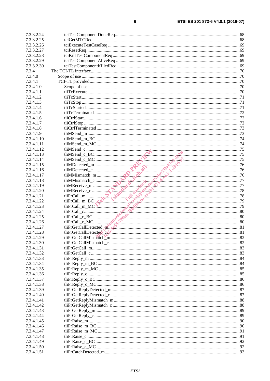| 7.3.3.2.24 |                                                                                                                                                                                                                                                                                                                                                                                                                                                              |  |
|------------|--------------------------------------------------------------------------------------------------------------------------------------------------------------------------------------------------------------------------------------------------------------------------------------------------------------------------------------------------------------------------------------------------------------------------------------------------------------|--|
| 7.3.3.2.25 |                                                                                                                                                                                                                                                                                                                                                                                                                                                              |  |
| 7.3.3.2.26 |                                                                                                                                                                                                                                                                                                                                                                                                                                                              |  |
| 7.3.3.2.27 |                                                                                                                                                                                                                                                                                                                                                                                                                                                              |  |
| 7.3.3.2.28 |                                                                                                                                                                                                                                                                                                                                                                                                                                                              |  |
| 7.3.3.2.29 |                                                                                                                                                                                                                                                                                                                                                                                                                                                              |  |
| 7.3.3.2.30 |                                                                                                                                                                                                                                                                                                                                                                                                                                                              |  |
| 7.3.4      |                                                                                                                                                                                                                                                                                                                                                                                                                                                              |  |
| 7.3.4.0    |                                                                                                                                                                                                                                                                                                                                                                                                                                                              |  |
| 7.3.4.1    |                                                                                                                                                                                                                                                                                                                                                                                                                                                              |  |
| 7.3.4.1.0  |                                                                                                                                                                                                                                                                                                                                                                                                                                                              |  |
| 7.3.4.1.1  |                                                                                                                                                                                                                                                                                                                                                                                                                                                              |  |
| 7.3.4.1.2  |                                                                                                                                                                                                                                                                                                                                                                                                                                                              |  |
| 7.3.4.1.3  |                                                                                                                                                                                                                                                                                                                                                                                                                                                              |  |
| 7.3.4.1.4  |                                                                                                                                                                                                                                                                                                                                                                                                                                                              |  |
| 7.3.4.1.5  |                                                                                                                                                                                                                                                                                                                                                                                                                                                              |  |
| 7.3.4.1.6  |                                                                                                                                                                                                                                                                                                                                                                                                                                                              |  |
| 7.3.4.1.7  |                                                                                                                                                                                                                                                                                                                                                                                                                                                              |  |
|            |                                                                                                                                                                                                                                                                                                                                                                                                                                                              |  |
| 7.3.4.1.8  |                                                                                                                                                                                                                                                                                                                                                                                                                                                              |  |
| 7.3.4.1.9  |                                                                                                                                                                                                                                                                                                                                                                                                                                                              |  |
| 7.3.4.1.10 |                                                                                                                                                                                                                                                                                                                                                                                                                                                              |  |
| 7.3.4.1.11 |                                                                                                                                                                                                                                                                                                                                                                                                                                                              |  |
| 7.3.4.1.12 |                                                                                                                                                                                                                                                                                                                                                                                                                                                              |  |
| 7.3.4.1.13 |                                                                                                                                                                                                                                                                                                                                                                                                                                                              |  |
| 7.3.4.1.14 |                                                                                                                                                                                                                                                                                                                                                                                                                                                              |  |
| 7.3.4.1.15 |                                                                                                                                                                                                                                                                                                                                                                                                                                                              |  |
| 7.3.4.1.16 |                                                                                                                                                                                                                                                                                                                                                                                                                                                              |  |
| 7.3.4.1.17 |                                                                                                                                                                                                                                                                                                                                                                                                                                                              |  |
| 7.3.4.1.18 |                                                                                                                                                                                                                                                                                                                                                                                                                                                              |  |
| 7.3.4.1.19 |                                                                                                                                                                                                                                                                                                                                                                                                                                                              |  |
| 7.3.4.1.20 |                                                                                                                                                                                                                                                                                                                                                                                                                                                              |  |
| 7.3.4.1.21 |                                                                                                                                                                                                                                                                                                                                                                                                                                                              |  |
| 7.3.4.1.22 |                                                                                                                                                                                                                                                                                                                                                                                                                                                              |  |
| 7.3.4.1.23 | $\begin{tabular}{ c c c } \hline \text{tilMSend\_m\_MC} & \text{14} \\ \hline \text{tilMSend\_c\_BC} & \text{15} \\ \hline \text{tilMSend\_c\_MC} & \text{16} \\ \hline \text{tilMDetected\_m} & \text{17} \\ \hline \text{tilMDetected\_c} & \text{18} \\ \hline \text{tilMMismnach\_m} & \text{19} \\ \hline \text{tilMMismnach\_c} & \text{19} \\ \hline \text{tilMMismnach\_c} & \text{10} \\ \hline \text{tilMMismatch\_c} & \text{11} \\ \hline \text$ |  |
| 7.3.4.1.24 |                                                                                                                                                                                                                                                                                                                                                                                                                                                              |  |
| 7.3.4.1.25 |                                                                                                                                                                                                                                                                                                                                                                                                                                                              |  |
| 7.3.4.1.26 |                                                                                                                                                                                                                                                                                                                                                                                                                                                              |  |
| 7.3.4.1.27 | tliPrGetCallDetected_m <sup>3</sup>                                                                                                                                                                                                                                                                                                                                                                                                                          |  |
| 7.3.4.1.28 | tliPrGetCallDetected communication and the contract of contract of contract and the contract of contract of the                                                                                                                                                                                                                                                                                                                                              |  |
| 7.3.4.1.29 |                                                                                                                                                                                                                                                                                                                                                                                                                                                              |  |
| 7.3.4.1.30 |                                                                                                                                                                                                                                                                                                                                                                                                                                                              |  |
| 7.3.4.1.31 |                                                                                                                                                                                                                                                                                                                                                                                                                                                              |  |
| 7.3.4.1.32 |                                                                                                                                                                                                                                                                                                                                                                                                                                                              |  |
| 7.3.4.1.33 |                                                                                                                                                                                                                                                                                                                                                                                                                                                              |  |
| 7.3.4.1.34 |                                                                                                                                                                                                                                                                                                                                                                                                                                                              |  |
| 7.3.4.1.35 |                                                                                                                                                                                                                                                                                                                                                                                                                                                              |  |
| 7.3.4.1.36 |                                                                                                                                                                                                                                                                                                                                                                                                                                                              |  |
| 7.3.4.1.37 |                                                                                                                                                                                                                                                                                                                                                                                                                                                              |  |
| 7.3.4.1.38 |                                                                                                                                                                                                                                                                                                                                                                                                                                                              |  |
| 7.3.4.1.39 |                                                                                                                                                                                                                                                                                                                                                                                                                                                              |  |
| 7.3.4.1.40 |                                                                                                                                                                                                                                                                                                                                                                                                                                                              |  |
| 7.3.4.1.41 |                                                                                                                                                                                                                                                                                                                                                                                                                                                              |  |
| 7.3.4.1.42 |                                                                                                                                                                                                                                                                                                                                                                                                                                                              |  |
| 7.3.4.1.43 |                                                                                                                                                                                                                                                                                                                                                                                                                                                              |  |
| 7.3.4.1.44 |                                                                                                                                                                                                                                                                                                                                                                                                                                                              |  |
| 7.3.4.1.45 |                                                                                                                                                                                                                                                                                                                                                                                                                                                              |  |
| 7.3.4.1.46 |                                                                                                                                                                                                                                                                                                                                                                                                                                                              |  |
| 7.3.4.1.47 |                                                                                                                                                                                                                                                                                                                                                                                                                                                              |  |
| 7.3.4.1.48 |                                                                                                                                                                                                                                                                                                                                                                                                                                                              |  |
| 7.3.4.1.49 |                                                                                                                                                                                                                                                                                                                                                                                                                                                              |  |
| 7.3.4.1.50 |                                                                                                                                                                                                                                                                                                                                                                                                                                                              |  |
| 7.3.4.1.51 |                                                                                                                                                                                                                                                                                                                                                                                                                                                              |  |
|            |                                                                                                                                                                                                                                                                                                                                                                                                                                                              |  |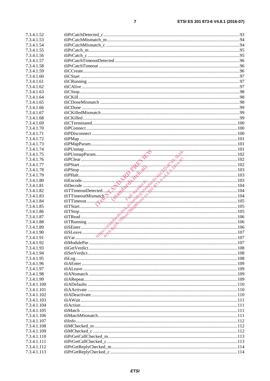| 7.3.4.1.52  |  |
|-------------|--|
| 7.3.4.1.53  |  |
| 7.3.4.1.54  |  |
| 7.3.4.1.55  |  |
| 7.3.4.1.56  |  |
| 7.3.4.1.57  |  |
| 7.3.4.1.58  |  |
| 7.3.4.1.59  |  |
| 7.3.4.1.60  |  |
| 7.3.4.1.61  |  |
| 7.3.4.1.62  |  |
| 7.3.4.1.63  |  |
| 7.3.4.1.64  |  |
| 7.3.4.1.65  |  |
| 7.3.4.1.66  |  |
| 7.3.4.1.67  |  |
| 7.3.4.1.68  |  |
| 7.3.4.1.69  |  |
| 7.3.4.1.70  |  |
| 7.3.4.1.71  |  |
| 7.3.4.1.72  |  |
| 7.3.4.1.73  |  |
| 7.3.4.1.74  |  |
| 7.3.4.1.75  |  |
| 7.3.4.1.76  |  |
| 7.3.4.1.77  |  |
| 7.3.4.1.78  |  |
| 7.3.4.1.79  |  |
| 7.3.4.1.80  |  |
| 7.3.4.1.81  |  |
| 7.3.4.1.82  |  |
| 7.3.4.1.83  |  |
| 7.3.4.1.84  |  |
| 7.3.4.1.85  |  |
| 7.3.4.1.86  |  |
| 7.3.4.1.87  |  |
| 7.3.4.1.88  |  |
| 7.3.4.1.89  |  |
| 7.3.4.1.90  |  |
| 7.3.4.1.91  |  |
| 7.3.4.1.92  |  |
| 7.3.4.1.93  |  |
| 7.3.4.1.94  |  |
| 7.3.4.1.95  |  |
| 7.3.4.1.96  |  |
| 7.3.4.1.97  |  |
| 7.3.4.1.98  |  |
| 7.3.4.1.99  |  |
| 7.3.4.1.100 |  |
| 7.3.4.1.101 |  |
| 7.3.4.1.102 |  |
| 7.3.4.1.103 |  |
| 7.3.4.1.104 |  |
| 7.3.4.1.105 |  |
| 7.3.4.1.106 |  |
| 7.3.4.1.107 |  |
| 7.3.4.1.108 |  |
| 7.3.4.1.109 |  |
| 7.3.4.1.110 |  |
| 7.3.4.1.111 |  |
| 7.3.4.1.112 |  |
| 7.3.4.1.113 |  |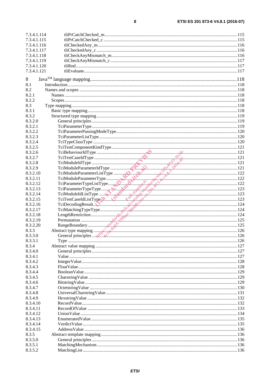$\bf 8$ 

| 7.3.4.1.114 |                                                                                                                                                                                                                                                                                                                                                                                                                                                                                 |  |
|-------------|---------------------------------------------------------------------------------------------------------------------------------------------------------------------------------------------------------------------------------------------------------------------------------------------------------------------------------------------------------------------------------------------------------------------------------------------------------------------------------|--|
| 7.3.4.1.115 |                                                                                                                                                                                                                                                                                                                                                                                                                                                                                 |  |
| 7.3.4.1.116 |                                                                                                                                                                                                                                                                                                                                                                                                                                                                                 |  |
| 7.3.4.1.117 |                                                                                                                                                                                                                                                                                                                                                                                                                                                                                 |  |
| 7.3.4.1.118 |                                                                                                                                                                                                                                                                                                                                                                                                                                                                                 |  |
| 7.3.4.1.119 |                                                                                                                                                                                                                                                                                                                                                                                                                                                                                 |  |
| 7.3.4.1.120 |                                                                                                                                                                                                                                                                                                                                                                                                                                                                                 |  |
| 7.3.4.1.121 |                                                                                                                                                                                                                                                                                                                                                                                                                                                                                 |  |
|             |                                                                                                                                                                                                                                                                                                                                                                                                                                                                                 |  |
| 8           |                                                                                                                                                                                                                                                                                                                                                                                                                                                                                 |  |
| 8.1         |                                                                                                                                                                                                                                                                                                                                                                                                                                                                                 |  |
| 8.2         |                                                                                                                                                                                                                                                                                                                                                                                                                                                                                 |  |
| 8.2.1       |                                                                                                                                                                                                                                                                                                                                                                                                                                                                                 |  |
| 8.2.2       |                                                                                                                                                                                                                                                                                                                                                                                                                                                                                 |  |
| 8.3         |                                                                                                                                                                                                                                                                                                                                                                                                                                                                                 |  |
| 8.3.1       |                                                                                                                                                                                                                                                                                                                                                                                                                                                                                 |  |
| 8.3.2       |                                                                                                                                                                                                                                                                                                                                                                                                                                                                                 |  |
| 8.3.2.0     |                                                                                                                                                                                                                                                                                                                                                                                                                                                                                 |  |
| 8.3.2.1     |                                                                                                                                                                                                                                                                                                                                                                                                                                                                                 |  |
| 8.3.2.2     |                                                                                                                                                                                                                                                                                                                                                                                                                                                                                 |  |
| 8.3.2.3     |                                                                                                                                                                                                                                                                                                                                                                                                                                                                                 |  |
| 8.3.2.4     |                                                                                                                                                                                                                                                                                                                                                                                                                                                                                 |  |
| 8.3.2.5     |                                                                                                                                                                                                                                                                                                                                                                                                                                                                                 |  |
| 8.3.2.6     |                                                                                                                                                                                                                                                                                                                                                                                                                                                                                 |  |
| 8.3.2.7     | TeiBehaviourldType<br>TeiModuleIdType<br>TeiModuleIdType<br>TeiModuleParameterIdType<br>121<br>TeiModuleParameterIdType                                                                                                                                                                                                                                                                                                                                                         |  |
| 8.3.2.8     |                                                                                                                                                                                                                                                                                                                                                                                                                                                                                 |  |
| 8.3.2.9     |                                                                                                                                                                                                                                                                                                                                                                                                                                                                                 |  |
| 8.3.2.10    |                                                                                                                                                                                                                                                                                                                                                                                                                                                                                 |  |
| 8.3.2.11    |                                                                                                                                                                                                                                                                                                                                                                                                                                                                                 |  |
| 8.3.2.12    |                                                                                                                                                                                                                                                                                                                                                                                                                                                                                 |  |
| 8.3.2.13    |                                                                                                                                                                                                                                                                                                                                                                                                                                                                                 |  |
| 8.3.2.14    |                                                                                                                                                                                                                                                                                                                                                                                                                                                                                 |  |
| 8.3.2.15    |                                                                                                                                                                                                                                                                                                                                                                                                                                                                                 |  |
| 8.3.2.16    |                                                                                                                                                                                                                                                                                                                                                                                                                                                                                 |  |
| 8.3.2.17    |                                                                                                                                                                                                                                                                                                                                                                                                                                                                                 |  |
| 8.3.2.18    |                                                                                                                                                                                                                                                                                                                                                                                                                                                                                 |  |
| 8.3.2.19    |                                                                                                                                                                                                                                                                                                                                                                                                                                                                                 |  |
|             |                                                                                                                                                                                                                                                                                                                                                                                                                                                                                 |  |
| 8.3.2.20    |                                                                                                                                                                                                                                                                                                                                                                                                                                                                                 |  |
| 8.3.3       |                                                                                                                                                                                                                                                                                                                                                                                                                                                                                 |  |
| 8.3.3.0     | TeiModuleParameterListType<br>TeiModuleParameterListType<br>TeiParameterTypeListType<br>TeiParameterTypeListType<br>TeiParameterTypeListType<br>TeiParameterTypeListType<br>TeiDaculeIListType<br>TeiDaculeIListType<br>TeiDaculeIListType<br>Te<br>General principles  with the communication of the communication of the communication of the communication of the communication of the communication of the communication of the communication of the communication of the c |  |
| 8.3.3.1     |                                                                                                                                                                                                                                                                                                                                                                                                                                                                                 |  |
| 8.3.4       |                                                                                                                                                                                                                                                                                                                                                                                                                                                                                 |  |
| 8.3.4.0     |                                                                                                                                                                                                                                                                                                                                                                                                                                                                                 |  |
| 8.3.4.1     |                                                                                                                                                                                                                                                                                                                                                                                                                                                                                 |  |
| 8.3.4.2     |                                                                                                                                                                                                                                                                                                                                                                                                                                                                                 |  |
| 8.3.4.3     |                                                                                                                                                                                                                                                                                                                                                                                                                                                                                 |  |
| 8.3.4.4     |                                                                                                                                                                                                                                                                                                                                                                                                                                                                                 |  |
| 8.3.4.5     |                                                                                                                                                                                                                                                                                                                                                                                                                                                                                 |  |
| 8.3.4.6     |                                                                                                                                                                                                                                                                                                                                                                                                                                                                                 |  |
| 8.3.4.7     |                                                                                                                                                                                                                                                                                                                                                                                                                                                                                 |  |
| 8.3.4.8     |                                                                                                                                                                                                                                                                                                                                                                                                                                                                                 |  |
| 8.3.4.9     |                                                                                                                                                                                                                                                                                                                                                                                                                                                                                 |  |
| 8.3.4.10    |                                                                                                                                                                                                                                                                                                                                                                                                                                                                                 |  |
| 8.3.4.11    |                                                                                                                                                                                                                                                                                                                                                                                                                                                                                 |  |
| 8.3.4.12    |                                                                                                                                                                                                                                                                                                                                                                                                                                                                                 |  |
| 8.3.4.13    |                                                                                                                                                                                                                                                                                                                                                                                                                                                                                 |  |
| 8.3.4.14    |                                                                                                                                                                                                                                                                                                                                                                                                                                                                                 |  |
| 8.3.4.15    |                                                                                                                                                                                                                                                                                                                                                                                                                                                                                 |  |
| 8.3.5       |                                                                                                                                                                                                                                                                                                                                                                                                                                                                                 |  |
| 8.3.5.0     |                                                                                                                                                                                                                                                                                                                                                                                                                                                                                 |  |
| 8.3.5.1     |                                                                                                                                                                                                                                                                                                                                                                                                                                                                                 |  |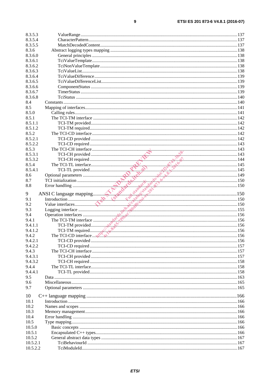| 8.3.5.3  |                                                                                                                                                                                                                                                                                                                    |  |
|----------|--------------------------------------------------------------------------------------------------------------------------------------------------------------------------------------------------------------------------------------------------------------------------------------------------------------------|--|
| 8.3.5.4  |                                                                                                                                                                                                                                                                                                                    |  |
| 8.3.5.5  |                                                                                                                                                                                                                                                                                                                    |  |
| 8.3.6    |                                                                                                                                                                                                                                                                                                                    |  |
| 8.3.6.0  |                                                                                                                                                                                                                                                                                                                    |  |
| 8.3.6.1  |                                                                                                                                                                                                                                                                                                                    |  |
| 8.3.6.2  |                                                                                                                                                                                                                                                                                                                    |  |
| 8.3.6.3  |                                                                                                                                                                                                                                                                                                                    |  |
| 8.3.6.4  |                                                                                                                                                                                                                                                                                                                    |  |
| 8.3.6.5  |                                                                                                                                                                                                                                                                                                                    |  |
| 8.3.6.6  |                                                                                                                                                                                                                                                                                                                    |  |
|          |                                                                                                                                                                                                                                                                                                                    |  |
| 8.3.6.7  |                                                                                                                                                                                                                                                                                                                    |  |
| 8.3.6.8  |                                                                                                                                                                                                                                                                                                                    |  |
| 8.4      |                                                                                                                                                                                                                                                                                                                    |  |
| 8.5      |                                                                                                                                                                                                                                                                                                                    |  |
| 8.5.0    |                                                                                                                                                                                                                                                                                                                    |  |
| 8.5.1    |                                                                                                                                                                                                                                                                                                                    |  |
| 8.5.1.1  |                                                                                                                                                                                                                                                                                                                    |  |
| 8.5.1.2  |                                                                                                                                                                                                                                                                                                                    |  |
| 8.5.2    |                                                                                                                                                                                                                                                                                                                    |  |
| 8.5.2.1  |                                                                                                                                                                                                                                                                                                                    |  |
| 8.5.2.2  |                                                                                                                                                                                                                                                                                                                    |  |
| 8.5.3    |                                                                                                                                                                                                                                                                                                                    |  |
| 8.5.3.1  |                                                                                                                                                                                                                                                                                                                    |  |
| 8.5.3.2  |                                                                                                                                                                                                                                                                                                                    |  |
| 8.5.4    |                                                                                                                                                                                                                                                                                                                    |  |
| 8.5.4.1  |                                                                                                                                                                                                                                                                                                                    |  |
| 8.6      |                                                                                                                                                                                                                                                                                                                    |  |
| 8.7      |                                                                                                                                                                                                                                                                                                                    |  |
| 8.8      |                                                                                                                                                                                                                                                                                                                    |  |
|          |                                                                                                                                                                                                                                                                                                                    |  |
|          |                                                                                                                                                                                                                                                                                                                    |  |
| 9        |                                                                                                                                                                                                                                                                                                                    |  |
| 9.1      |                                                                                                                                                                                                                                                                                                                    |  |
| 9.2      |                                                                                                                                                                                                                                                                                                                    |  |
| 9.3      |                                                                                                                                                                                                                                                                                                                    |  |
|          |                                                                                                                                                                                                                                                                                                                    |  |
| 9.4      |                                                                                                                                                                                                                                                                                                                    |  |
| 9.4.1    | The TCI-CH interface<br>TCI-CH provided<br>TCI-TL provided<br>TCI-TL interface<br>TCI-TL interface<br>TCI-TL interface<br>TCI-TL interface<br>TCI-TL interface<br>TCI-TL interface<br>TCI-TL provided.<br>Security: The SCI-TL of the Bigging inte                                                                 |  |
| 9.4.1.1  |                                                                                                                                                                                                                                                                                                                    |  |
| 9.4.1.2  |                                                                                                                                                                                                                                                                                                                    |  |
| 9.4.2    | The TCI-CD interface $\mathbb{R}^N$ , $\mathbb{R}^N$ , $\mathbb{R}^N$ , $\mathbb{R}^N$ , $\mathbb{R}^N$ , $\mathbb{R}^N$ , $\mathbb{R}^N$ , $\mathbb{R}^N$ , $\mathbb{R}^N$ , $\mathbb{R}^N$ , $\mathbb{R}^N$ , $\mathbb{R}^N$ , $\mathbb{R}^N$ , $\mathbb{R}^N$ , $\mathbb{R}^N$ , $\mathbb{R}^N$ , $\mathbb{R}^$ |  |
| 9.4.2.1  |                                                                                                                                                                                                                                                                                                                    |  |
| 9.4.2.2  |                                                                                                                                                                                                                                                                                                                    |  |
| 9.4.3    |                                                                                                                                                                                                                                                                                                                    |  |
| 9.4.3.1  |                                                                                                                                                                                                                                                                                                                    |  |
| 9.4.3.2  |                                                                                                                                                                                                                                                                                                                    |  |
| 9.4.4    |                                                                                                                                                                                                                                                                                                                    |  |
| 9.4.4.1  |                                                                                                                                                                                                                                                                                                                    |  |
| 9.5      |                                                                                                                                                                                                                                                                                                                    |  |
| 9.6      |                                                                                                                                                                                                                                                                                                                    |  |
| 9.7      |                                                                                                                                                                                                                                                                                                                    |  |
|          |                                                                                                                                                                                                                                                                                                                    |  |
| 10       |                                                                                                                                                                                                                                                                                                                    |  |
| 10.1     |                                                                                                                                                                                                                                                                                                                    |  |
| 10.2     |                                                                                                                                                                                                                                                                                                                    |  |
| 10.3     |                                                                                                                                                                                                                                                                                                                    |  |
| 10.4     |                                                                                                                                                                                                                                                                                                                    |  |
| 10.5     |                                                                                                                                                                                                                                                                                                                    |  |
| 10.5.0   |                                                                                                                                                                                                                                                                                                                    |  |
| 10.5.1   |                                                                                                                                                                                                                                                                                                                    |  |
| 10.5.2   |                                                                                                                                                                                                                                                                                                                    |  |
| 10.5.2.1 |                                                                                                                                                                                                                                                                                                                    |  |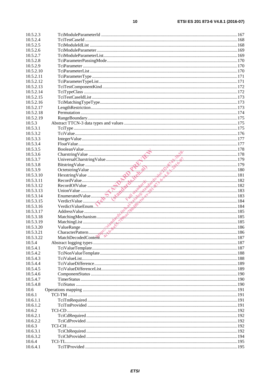| 10.5.2.3  |                                                                                                                                                                                                                                                                                                                                                                                                                                                                                           |  |
|-----------|-------------------------------------------------------------------------------------------------------------------------------------------------------------------------------------------------------------------------------------------------------------------------------------------------------------------------------------------------------------------------------------------------------------------------------------------------------------------------------------------|--|
| 10.5.2.4  |                                                                                                                                                                                                                                                                                                                                                                                                                                                                                           |  |
| 10.5.2.5  |                                                                                                                                                                                                                                                                                                                                                                                                                                                                                           |  |
| 10.5.2.6  |                                                                                                                                                                                                                                                                                                                                                                                                                                                                                           |  |
| 10.5.2.7  |                                                                                                                                                                                                                                                                                                                                                                                                                                                                                           |  |
| 10.5.2.8  |                                                                                                                                                                                                                                                                                                                                                                                                                                                                                           |  |
| 10.5.2.9  |                                                                                                                                                                                                                                                                                                                                                                                                                                                                                           |  |
| 10.5.2.10 |                                                                                                                                                                                                                                                                                                                                                                                                                                                                                           |  |
| 10.5.2.11 |                                                                                                                                                                                                                                                                                                                                                                                                                                                                                           |  |
|           |                                                                                                                                                                                                                                                                                                                                                                                                                                                                                           |  |
| 10.5.2.12 |                                                                                                                                                                                                                                                                                                                                                                                                                                                                                           |  |
| 10.5.2.13 |                                                                                                                                                                                                                                                                                                                                                                                                                                                                                           |  |
| 10.5.2.14 |                                                                                                                                                                                                                                                                                                                                                                                                                                                                                           |  |
| 10.5.2.15 |                                                                                                                                                                                                                                                                                                                                                                                                                                                                                           |  |
| 10.5.2.16 |                                                                                                                                                                                                                                                                                                                                                                                                                                                                                           |  |
| 10.5.2.17 |                                                                                                                                                                                                                                                                                                                                                                                                                                                                                           |  |
| 10.5.2.18 |                                                                                                                                                                                                                                                                                                                                                                                                                                                                                           |  |
| 10.5.2.19 |                                                                                                                                                                                                                                                                                                                                                                                                                                                                                           |  |
| 10.5.3    |                                                                                                                                                                                                                                                                                                                                                                                                                                                                                           |  |
| 10.5.3.1  |                                                                                                                                                                                                                                                                                                                                                                                                                                                                                           |  |
| 10.5.3.2  |                                                                                                                                                                                                                                                                                                                                                                                                                                                                                           |  |
| 10.5.3.3  |                                                                                                                                                                                                                                                                                                                                                                                                                                                                                           |  |
| 10.5.3.4  |                                                                                                                                                                                                                                                                                                                                                                                                                                                                                           |  |
| 10.5.3.5  |                                                                                                                                                                                                                                                                                                                                                                                                                                                                                           |  |
| 10.5.3.6  |                                                                                                                                                                                                                                                                                                                                                                                                                                                                                           |  |
| 10.5.3.7  |                                                                                                                                                                                                                                                                                                                                                                                                                                                                                           |  |
| 10.5.3.8  |                                                                                                                                                                                                                                                                                                                                                                                                                                                                                           |  |
| 10.5.3.9  |                                                                                                                                                                                                                                                                                                                                                                                                                                                                                           |  |
| 10.5.3.10 |                                                                                                                                                                                                                                                                                                                                                                                                                                                                                           |  |
| 10.5.3.11 |                                                                                                                                                                                                                                                                                                                                                                                                                                                                                           |  |
|           | $\begin{tabular}{ c c c c } \hline \text{FoalValue} & 177 \\ \text{Dolar string Value} & 178 \\ \text{UniversalCharstring Value} & 179 \\ \text{Bitsstring Value} & 179 \\ \text{Hersing Value} & 182 \\ \text{RecordOValue} & 181 \\ \text{RecordOValue} & 182 \\ \text{RecordOValue} & 182 \\ \text{ReordC1Value} & 183 \\ \text{UnnonValue} & 184 \\ \text{Heterical Value} & 185 \\ \text{NeutringÅ} & 184 \\ \text{Addresy Value} & 185 \\ \text{MatchingMechanism} & 185 \\ \text{$ |  |
| 10.5.3.12 |                                                                                                                                                                                                                                                                                                                                                                                                                                                                                           |  |
| 10.5.3.13 |                                                                                                                                                                                                                                                                                                                                                                                                                                                                                           |  |
| 10.5.3.14 |                                                                                                                                                                                                                                                                                                                                                                                                                                                                                           |  |
| 10.5.3.15 |                                                                                                                                                                                                                                                                                                                                                                                                                                                                                           |  |
| 10.5.3.16 |                                                                                                                                                                                                                                                                                                                                                                                                                                                                                           |  |
| 10.5.3.17 |                                                                                                                                                                                                                                                                                                                                                                                                                                                                                           |  |
| 10.5.3.18 |                                                                                                                                                                                                                                                                                                                                                                                                                                                                                           |  |
| 10.5.3.19 |                                                                                                                                                                                                                                                                                                                                                                                                                                                                                           |  |
| 10.5.3.20 |                                                                                                                                                                                                                                                                                                                                                                                                                                                                                           |  |
| 10.5.3.21 |                                                                                                                                                                                                                                                                                                                                                                                                                                                                                           |  |
| 10.5.3.22 |                                                                                                                                                                                                                                                                                                                                                                                                                                                                                           |  |
| 10.5.4    |                                                                                                                                                                                                                                                                                                                                                                                                                                                                                           |  |
| 10.5.4.1  |                                                                                                                                                                                                                                                                                                                                                                                                                                                                                           |  |
| 10.5.4.2  |                                                                                                                                                                                                                                                                                                                                                                                                                                                                                           |  |
| 10.5.4.3  |                                                                                                                                                                                                                                                                                                                                                                                                                                                                                           |  |
| 10.5.4.4  |                                                                                                                                                                                                                                                                                                                                                                                                                                                                                           |  |
| 10.5.4.5  |                                                                                                                                                                                                                                                                                                                                                                                                                                                                                           |  |
| 10.5.4.6  |                                                                                                                                                                                                                                                                                                                                                                                                                                                                                           |  |
| 10.5.4.7  |                                                                                                                                                                                                                                                                                                                                                                                                                                                                                           |  |
| 10.5.4.8  |                                                                                                                                                                                                                                                                                                                                                                                                                                                                                           |  |
| 10.6      |                                                                                                                                                                                                                                                                                                                                                                                                                                                                                           |  |
| 10.6.1    |                                                                                                                                                                                                                                                                                                                                                                                                                                                                                           |  |
| 10.6.1.1  |                                                                                                                                                                                                                                                                                                                                                                                                                                                                                           |  |
| 10.6.1.2  |                                                                                                                                                                                                                                                                                                                                                                                                                                                                                           |  |
|           |                                                                                                                                                                                                                                                                                                                                                                                                                                                                                           |  |
| 10.6.2    |                                                                                                                                                                                                                                                                                                                                                                                                                                                                                           |  |
| 10.6.2.1  |                                                                                                                                                                                                                                                                                                                                                                                                                                                                                           |  |
| 10.6.2.2  |                                                                                                                                                                                                                                                                                                                                                                                                                                                                                           |  |
| 10.6.3    |                                                                                                                                                                                                                                                                                                                                                                                                                                                                                           |  |
| 10.6.3.1  |                                                                                                                                                                                                                                                                                                                                                                                                                                                                                           |  |
| 10.6.3.2  |                                                                                                                                                                                                                                                                                                                                                                                                                                                                                           |  |
| 10.6.4    |                                                                                                                                                                                                                                                                                                                                                                                                                                                                                           |  |
| 10.6.4.1  |                                                                                                                                                                                                                                                                                                                                                                                                                                                                                           |  |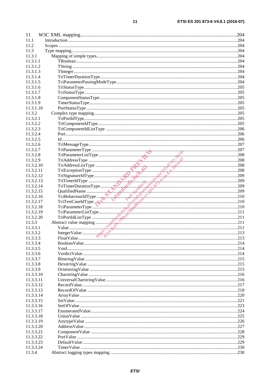$11$ 

| 11                  |                                                                                                                                                                                                                                                                                        |  |
|---------------------|----------------------------------------------------------------------------------------------------------------------------------------------------------------------------------------------------------------------------------------------------------------------------------------|--|
| 11.1                |                                                                                                                                                                                                                                                                                        |  |
| 11.2                |                                                                                                                                                                                                                                                                                        |  |
| 11.3                |                                                                                                                                                                                                                                                                                        |  |
| 11.3.1              |                                                                                                                                                                                                                                                                                        |  |
|                     |                                                                                                                                                                                                                                                                                        |  |
| 11.3.1.1            |                                                                                                                                                                                                                                                                                        |  |
| 11.3.1.2            |                                                                                                                                                                                                                                                                                        |  |
| 11.3.1.3            |                                                                                                                                                                                                                                                                                        |  |
| 11.3.1.4            |                                                                                                                                                                                                                                                                                        |  |
| 11.3.1.5            |                                                                                                                                                                                                                                                                                        |  |
| 11.3.1.6            |                                                                                                                                                                                                                                                                                        |  |
| 11.3.1.7            |                                                                                                                                                                                                                                                                                        |  |
| 11.3.1.8            |                                                                                                                                                                                                                                                                                        |  |
| 11.3.1.9            |                                                                                                                                                                                                                                                                                        |  |
| 11.3.1.10           |                                                                                                                                                                                                                                                                                        |  |
| 11.3.2              |                                                                                                                                                                                                                                                                                        |  |
|                     |                                                                                                                                                                                                                                                                                        |  |
| 11.3.2.1            |                                                                                                                                                                                                                                                                                        |  |
| 11.3.2.2            |                                                                                                                                                                                                                                                                                        |  |
| 11.3.2.3            |                                                                                                                                                                                                                                                                                        |  |
| 11.3.2.4            |                                                                                                                                                                                                                                                                                        |  |
| 11.3.2.5            |                                                                                                                                                                                                                                                                                        |  |
| 11.3.2.6            | $\begin{tabular}{ c c c c } \hline TriNessage Type 100000 & TriParametricType 100000 & 0.000000 & 0.000000 & 0.000000 & 0.000000 & 0.000000 & 0.000000 & 0.000000 & 0.000000 & 0.000000 & 0.000000 & 0.000000 & 0.000000 & 0.000000 & 0.000000 & 0.000000 & 0.000000 & 0.000000 & 0.0$ |  |
| 11.3.2.7            |                                                                                                                                                                                                                                                                                        |  |
| 11.3.2.8            |                                                                                                                                                                                                                                                                                        |  |
| 11.3.2.9            |                                                                                                                                                                                                                                                                                        |  |
| 11.3.2.10           |                                                                                                                                                                                                                                                                                        |  |
| 11.3.2.11           |                                                                                                                                                                                                                                                                                        |  |
| 11.3.2.12           |                                                                                                                                                                                                                                                                                        |  |
| 11.3.2.13           |                                                                                                                                                                                                                                                                                        |  |
|                     |                                                                                                                                                                                                                                                                                        |  |
| 11.3.2.14           |                                                                                                                                                                                                                                                                                        |  |
| 11.3.2.15           |                                                                                                                                                                                                                                                                                        |  |
| 11.3.2.16           |                                                                                                                                                                                                                                                                                        |  |
| 11.3.2.17           |                                                                                                                                                                                                                                                                                        |  |
| 11.3.2.18           |                                                                                                                                                                                                                                                                                        |  |
| 11.3.2.19           |                                                                                                                                                                                                                                                                                        |  |
| 11.3.2.20           |                                                                                                                                                                                                                                                                                        |  |
| 11.3.3              |                                                                                                                                                                                                                                                                                        |  |
| 11.3.3.1            |                                                                                                                                                                                                                                                                                        |  |
| 11.3.3.2            |                                                                                                                                                                                                                                                                                        |  |
| 11.3.3.3            |                                                                                                                                                                                                                                                                                        |  |
| 11.3.3.4            |                                                                                                                                                                                                                                                                                        |  |
| 11.3.3.5            |                                                                                                                                                                                                                                                                                        |  |
| 11.3.3.6            |                                                                                                                                                                                                                                                                                        |  |
| 11.3.3.7            |                                                                                                                                                                                                                                                                                        |  |
|                     |                                                                                                                                                                                                                                                                                        |  |
| 11.3.3.8            |                                                                                                                                                                                                                                                                                        |  |
| 11.3.3.9            |                                                                                                                                                                                                                                                                                        |  |
| 11.3.3.10           |                                                                                                                                                                                                                                                                                        |  |
| 11.3.3.11           |                                                                                                                                                                                                                                                                                        |  |
| 11.3.3.12           |                                                                                                                                                                                                                                                                                        |  |
| 11.3.3.13           |                                                                                                                                                                                                                                                                                        |  |
| 11.3.3.14           |                                                                                                                                                                                                                                                                                        |  |
|                     |                                                                                                                                                                                                                                                                                        |  |
| 11.3.3.15           |                                                                                                                                                                                                                                                                                        |  |
| 11.3.3.16           |                                                                                                                                                                                                                                                                                        |  |
| 11.3.3.17           |                                                                                                                                                                                                                                                                                        |  |
|                     |                                                                                                                                                                                                                                                                                        |  |
| 11.3.3.18           |                                                                                                                                                                                                                                                                                        |  |
| 11.3.3.19           |                                                                                                                                                                                                                                                                                        |  |
| 11.3.3.20           |                                                                                                                                                                                                                                                                                        |  |
| 11.3.3.21           |                                                                                                                                                                                                                                                                                        |  |
| 11.3.3.22           |                                                                                                                                                                                                                                                                                        |  |
| 11.3.3.23           |                                                                                                                                                                                                                                                                                        |  |
| 11.3.3.24<br>11.3.4 |                                                                                                                                                                                                                                                                                        |  |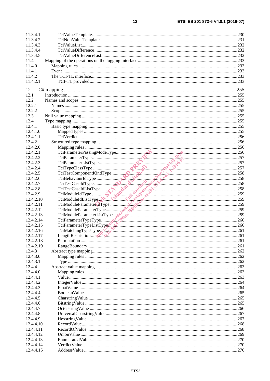| 11.3.4.1  |                                                                                                                                                                                                                                                      |      |
|-----------|------------------------------------------------------------------------------------------------------------------------------------------------------------------------------------------------------------------------------------------------------|------|
| 11.3.4.2  |                                                                                                                                                                                                                                                      |      |
| 11.3.4.3  |                                                                                                                                                                                                                                                      |      |
| 11.3.4.4  |                                                                                                                                                                                                                                                      |      |
| 11.3.4.5  |                                                                                                                                                                                                                                                      |      |
| 11.4      |                                                                                                                                                                                                                                                      |      |
| 11.4.0    |                                                                                                                                                                                                                                                      |      |
| 11.4.1    |                                                                                                                                                                                                                                                      |      |
| 11.4.2    |                                                                                                                                                                                                                                                      |      |
| 11.4.2.1  |                                                                                                                                                                                                                                                      |      |
|           |                                                                                                                                                                                                                                                      |      |
| 12        |                                                                                                                                                                                                                                                      |      |
| 12.1      |                                                                                                                                                                                                                                                      |      |
| 12.2      |                                                                                                                                                                                                                                                      |      |
| 12.2.1    |                                                                                                                                                                                                                                                      |      |
| 12.2.2    |                                                                                                                                                                                                                                                      |      |
| 12.3      |                                                                                                                                                                                                                                                      |      |
|           |                                                                                                                                                                                                                                                      |      |
| 12.4      |                                                                                                                                                                                                                                                      |      |
| 12.4.1    |                                                                                                                                                                                                                                                      |      |
| 12.4.1.0  |                                                                                                                                                                                                                                                      |      |
| 12.4.1.1  |                                                                                                                                                                                                                                                      |      |
| 12.4.2    |                                                                                                                                                                                                                                                      |      |
| 12.4.2.0  |                                                                                                                                                                                                                                                      |      |
| 12.4.2.1  |                                                                                                                                                                                                                                                      |      |
| 12.4.2.2  |                                                                                                                                                                                                                                                      |      |
| 12.4.2.3  |                                                                                                                                                                                                                                                      |      |
| 12.4.2.4  |                                                                                                                                                                                                                                                      |      |
| 12.4.2.5  |                                                                                                                                                                                                                                                      |      |
| 12.4.2.6  |                                                                                                                                                                                                                                                      |      |
| 12.4.2.7  |                                                                                                                                                                                                                                                      |      |
| 12.4.2.8  |                                                                                                                                                                                                                                                      |      |
| 12.4.2.9  | TciTestComponentKindType<br>TciTestComponentKindType<br>TciTestCaseIdType<br>TciTestCaseIdType<br>TciTestCaseIdListType<br>TciModuleParameterType<br>TciModuleParameterType<br>TciModuleParameterType<br>259<br>TciModuleParameterType<br>259<br>Tci |      |
| 12.4.2.10 |                                                                                                                                                                                                                                                      |      |
| 12.4.2.11 |                                                                                                                                                                                                                                                      |      |
| 12.4.2.12 |                                                                                                                                                                                                                                                      |      |
| 12.4.2.13 |                                                                                                                                                                                                                                                      |      |
|           |                                                                                                                                                                                                                                                      |      |
| 12.4.2.14 | TeiModuleParameterListType<br>TeiParameterTypeType<br>TeiParameterTypeListType<br>260                                                                                                                                                                |      |
| 12.4.2.15 |                                                                                                                                                                                                                                                      |      |
| 12.4.2.16 | TciMatchingTypeType                                                                                                                                                                                                                                  |      |
| 12.4.2.17 |                                                                                                                                                                                                                                                      | .261 |
| 12.4.2.18 |                                                                                                                                                                                                                                                      |      |
| 12.4.2.19 |                                                                                                                                                                                                                                                      |      |
| 12.4.3    |                                                                                                                                                                                                                                                      |      |
| 12.4.3.0  |                                                                                                                                                                                                                                                      |      |
| 12.4.3.1  |                                                                                                                                                                                                                                                      |      |
| 12.4.4    |                                                                                                                                                                                                                                                      |      |
| 12.4.4.0  |                                                                                                                                                                                                                                                      |      |
| 12.4.4.1  |                                                                                                                                                                                                                                                      |      |
| 12.4.4.2  |                                                                                                                                                                                                                                                      |      |
| 12.4.4.3  |                                                                                                                                                                                                                                                      |      |
| 12.4.4.4  |                                                                                                                                                                                                                                                      |      |
| 12.4.4.5  |                                                                                                                                                                                                                                                      |      |
| 12.4.4.6  |                                                                                                                                                                                                                                                      |      |
| 12.4.4.7  |                                                                                                                                                                                                                                                      |      |
| 12.4.4.8  |                                                                                                                                                                                                                                                      |      |
| 12.4.4.9  |                                                                                                                                                                                                                                                      |      |
| 12.4.4.10 |                                                                                                                                                                                                                                                      |      |
| 12.4.4.11 |                                                                                                                                                                                                                                                      |      |
|           |                                                                                                                                                                                                                                                      |      |
| 12.4.4.12 |                                                                                                                                                                                                                                                      |      |
| 12.4.4.13 |                                                                                                                                                                                                                                                      |      |
| 12.4.4.14 |                                                                                                                                                                                                                                                      |      |
| 12.4.4.15 |                                                                                                                                                                                                                                                      |      |